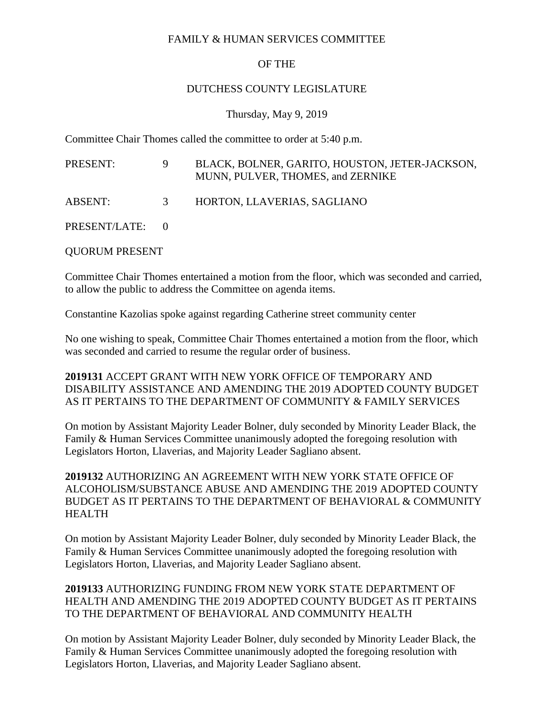#### FAMILY & HUMAN SERVICES COMMITTEE

# OF THE

### DUTCHESS COUNTY LEGISLATURE

### Thursday, May 9, 2019

Committee Chair Thomes called the committee to order at 5:40 p.m.

| PRESENT:        | 9 | BLACK, BOLNER, GARITO, HOUSTON, JETER-JACKSON,<br>MUNN, PULVER, THOMES, and ZERNIKE |
|-----------------|---|-------------------------------------------------------------------------------------|
| <b>ABSENT:</b>  | 3 | HORTON, LLAVERIAS, SAGLIANO                                                         |
| PRESENT/LATE: 0 |   |                                                                                     |

QUORUM PRESENT

Committee Chair Thomes entertained a motion from the floor, which was seconded and carried, to allow the public to address the Committee on agenda items.

Constantine Kazolias spoke against regarding Catherine street community center

No one wishing to speak, Committee Chair Thomes entertained a motion from the floor, which was seconded and carried to resume the regular order of business.

### **2019131** ACCEPT GRANT WITH NEW YORK OFFICE OF TEMPORARY AND DISABILITY ASSISTANCE AND AMENDING THE 2019 ADOPTED COUNTY BUDGET AS IT PERTAINS TO THE DEPARTMENT OF COMMUNITY & FAMILY SERVICES

On motion by Assistant Majority Leader Bolner, duly seconded by Minority Leader Black, the Family & Human Services Committee unanimously adopted the foregoing resolution with Legislators Horton, Llaverias, and Majority Leader Sagliano absent.

# **2019132** AUTHORIZING AN AGREEMENT WITH NEW YORK STATE OFFICE OF ALCOHOLISM/SUBSTANCE ABUSE AND AMENDING THE 2019 ADOPTED COUNTY BUDGET AS IT PERTAINS TO THE DEPARTMENT OF BEHAVIORAL & COMMUNITY HEALTH

On motion by Assistant Majority Leader Bolner, duly seconded by Minority Leader Black, the Family & Human Services Committee unanimously adopted the foregoing resolution with Legislators Horton, Llaverias, and Majority Leader Sagliano absent.

### **2019133** AUTHORIZING FUNDING FROM NEW YORK STATE DEPARTMENT OF HEALTH AND AMENDING THE 2019 ADOPTED COUNTY BUDGET AS IT PERTAINS TO THE DEPARTMENT OF BEHAVIORAL AND COMMUNITY HEALTH

On motion by Assistant Majority Leader Bolner, duly seconded by Minority Leader Black, the Family & Human Services Committee unanimously adopted the foregoing resolution with Legislators Horton, Llaverias, and Majority Leader Sagliano absent.